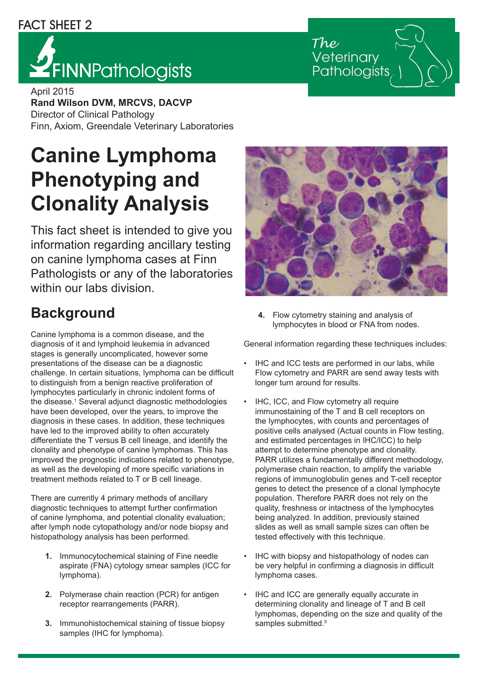#### FACT SHEET 2

# **YFINNPathologists**

Veterinary Pathologists

April 2015 **Rand Wilson DVM, MRCVS, DACVP** Director of Clinical Pathology Finn, Axiom, Greendale Veterinary Laboratories

# **Canine Lymphoma Phenotyping and Clonality Analysis**

This fact sheet is intended to give you information regarding ancillary testing on canine lymphoma cases at Finn Pathologists or any of the laboratories within our labs division.

### **Background**

Canine lymphoma is a common disease, and the diagnosis of it and lymphoid leukemia in advanced stages is generally uncomplicated, however some presentations of the disease can be a diagnostic challenge. In certain situations, lymphoma can be difficult to distinguish from a benign reactive proliferation of lymphocytes particularly in chronic indolent forms of the disease.<sup>1</sup> Several adjunct diagnostic methodologies have been developed, over the years, to improve the diagnosis in these cases. In addition, these techniques have led to the improved ability to often accurately differentiate the T versus B cell lineage, and identify the clonality and phenotype of canine lymphomas. This has improved the prognostic indications related to phenotype, as well as the developing of more specific variations in treatment methods related to T or B cell lineage.

There are currently 4 primary methods of ancillary diagnostic techniques to attempt further confirmation of canine lymphoma, and potential clonality evaluation; after lymph node cytopathology and/or node biopsy and histopathology analysis has been performed.

- **1.** Immunocytochemical staining of Fine needle aspirate (FNA) cytology smear samples (ICC for lymphoma).
- **2.** Polymerase chain reaction (PCR) for antigen receptor rearrangements (PARR).
- **3.** Immunohistochemical staining of tissue biopsy samples (IHC for lymphoma).



**4.** Flow cytometry staining and analysis of lymphocytes in blood or FNA from nodes.

General information regarding these techniques includes:

- IHC and ICC tests are performed in our labs, while Flow cytometry and PARR are send away tests with longer turn around for results.
- IHC, ICC, and Flow cytometry all require immunostaining of the T and B cell receptors on the lymphocytes, with counts and percentages of positive cells analysed (Actual counts in Flow testing, and estimated percentages in IHC/ICC) to help attempt to determine phenotype and clonality. PARR utilizes a fundamentally different methodology, polymerase chain reaction, to amplify the variable regions of immunoglobulin genes and T-cell receptor genes to detect the presence of a clonal lymphocyte population. Therefore PARR does not rely on the quality, freshness or intactness of the lymphocytes being analyzed. In addition, previously stained slides as well as small sample sizes can often be tested effectively with this technique.
- IHC with biopsy and histopathology of nodes can be very helpful in confirming a diagnosis in difficult lymphoma cases.
- IHC and ICC are generally equally accurate in determining clonality and lineage of T and B cell lymphomas, depending on the size and quality of the samples submitted.<sup>5</sup>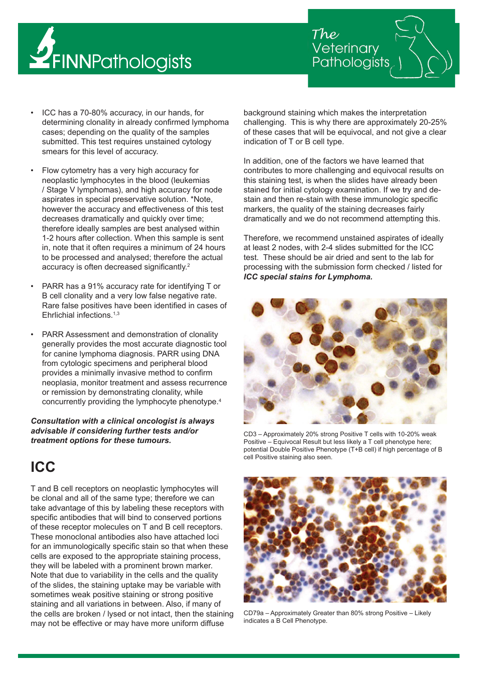



- ICC has a 70-80% accuracy, in our hands, for determining clonality in already confirmed lymphoma cases; depending on the quality of the samples submitted. This test requires unstained cytology smears for this level of accuracy.
- Flow cytometry has a very high accuracy for neoplastic lymphocytes in the blood (leukemias / Stage V lymphomas), and high accuracy for node aspirates in special preservative solution. \*Note, however the accuracy and effectiveness of this test decreases dramatically and quickly over time; therefore ideally samples are best analysed within 1-2 hours after collection. When this sample is sent in, note that it often requires a minimum of 24 hours to be processed and analysed; therefore the actual accuracy is often decreased significantly.<sup>2</sup>
- PARR has a 91% accuracy rate for identifying T or B cell clonality and a very low false negative rate. Rare false positives have been identified in cases of Ehrlichial infections.1,3
- PARR Assessment and demonstration of clonality generally provides the most accurate diagnostic tool for canine lymphoma diagnosis. PARR using DNA from cytologic specimens and peripheral blood provides a minimally invasive method to confirm neoplasia, monitor treatment and assess recurrence or remission by demonstrating clonality, while concurrently providing the lymphocyte phenotype.4

*Consultation with a clinical oncologist is always advisable if considering further tests and/or treatment options for these tumours.*

#### **ICC**

T and B cell receptors on neoplastic lymphocytes will be clonal and all of the same type; therefore we can take advantage of this by labeling these receptors with specific antibodies that will bind to conserved portions of these receptor molecules on T and B cell receptors. These monoclonal antibodies also have attached loci for an immunologically specific stain so that when these cells are exposed to the appropriate staining process, they will be labeled with a prominent brown marker. Note that due to variability in the cells and the quality of the slides, the staining uptake may be variable with sometimes weak positive staining or strong positive staining and all variations in between. Also, if many of the cells are broken / lysed or not intact, then the staining may not be effective or may have more uniform diffuse

background staining which makes the interpretation challenging. This is why there are approximately 20-25% of these cases that will be equivocal, and not give a clear indication of T or B cell type.

In addition, one of the factors we have learned that contributes to more challenging and equivocal results on this staining test, is when the slides have already been stained for initial cytology examination. If we try and destain and then re-stain with these immunologic specific markers, the quality of the staining decreases fairly dramatically and we do not recommend attempting this.

Therefore, we recommend unstained aspirates of ideally at least 2 nodes, with 2-4 slides submitted for the ICC test. These should be air dried and sent to the lab for processing with the submission form checked / listed for *ICC special stains for Lymphoma.* 



CD3 – Approximately 20% strong Positive T cells with 10-20% weak Positive – Equivocal Result but less likely a T cell phenotype here; potential Double Positive Phenotype (T+B cell) if high percentage of B cell Positive staining also seen.



CD79a – Approximately Greater than 80% strong Positive – Likely indicates a B Cell Phenotype.